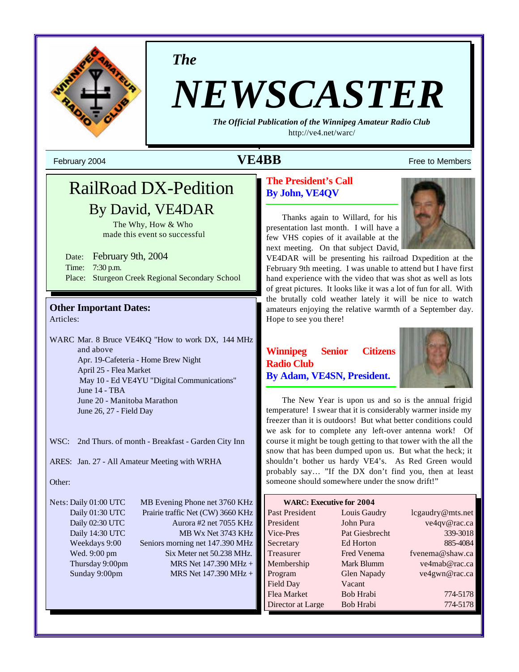

*The*

# *NEWSCASTER*

*The Official Publication of the Winnipeg Amateur Radio Club* http://ve4.net/warc/

## February 2004  $\mathbf{VEABB}$  Free to Members

## RailRoad DX-Pedition By David, VE4DAR

The Why, How & Who made this event so successful

Date: February 9th, 2004 Time: 7:30 p.m. Place: Sturgeon Creek Regional Secondary School

## **Other Important Dates:**

Articles:

WARC Mar. 8 Bruce VE4KQ "How to work DX, 144 MHz and above Apr. 19-Cafeteria - Home Brew Night April 25 - Flea Market May 10 - Ed VE4YU "Digital Communications" June 14 - TBA June 20 - Manitoba Marathon June 26, 27 - Field Day

WSC: 2nd Thurs. of month - Breakfast - Garden City Inn

ARES: Jan. 27 - All Amateur Meeting with WRHA

#### Other:

Nets: Daily 01:00 UTC MB Evening Phone net 3760 KHz Daily 01:30 UTC Prairie traffic Net (CW) 3660 KHz Daily 02:30 UTC Aurora #2 net 7055 KHz Daily 14:30 UTC MB Wx Net 3743 KHz Weekdays 9:00 Seniors morning net 147.390 MHz Wed. 9:00 pm Six Meter net 50.238 MHz. Thursday 9:00pm MRS Net  $147.390 \text{ MHz} +$ Sunday 9:00pm MRS Net 147.390 MHz +

#### **The President's Call By John, VE4QV**

Thanks again to Willard, for his presentation last month. I will have a few VHS copies of it available at the next meeting. On that subject David,



VE4DAR will be presenting his railroad Dxpedition at the February 9th meeting. I was unable to attend but I have first hand experience with the video that was shot as well as lots of great pictures. It looks like it was a lot of fun for all. With the brutally cold weather lately it will be nice to watch amateurs enjoying the relative warmth of a September day. Hope to see you there!

#### **Winnipeg Senior Citizens Radio Club By Adam, VE4SN, President.**



The New Year is upon us and so is the annual frigid temperature! I swear that it is considerably warmer inside my freezer than it is outdoors! But what better conditions could we ask for to complete any left-over antenna work! Of course it might be tough getting to that tower with the all the snow that has been dumped upon us. But what the heck; it shouldn't bother us hardy VE4's. As Red Green would probably say… "If the DX don't find you, then at least someone should somewhere under the snow drift!"

| <b>WARC: Executive for 2004</b> |                    |                  |  |  |
|---------------------------------|--------------------|------------------|--|--|
| Past President                  | Louis Gaudry       | lcgaudry@mts.net |  |  |
| President                       | John Pura          | ve4qv@rac.ca     |  |  |
| Vice-Pres                       | Pat Giesbrecht     | 339-3018         |  |  |
| Secretary                       | Ed Horton          | 885-4084         |  |  |
| Treasurer                       | <b>Fred Venema</b> | fvenema@shaw.ca  |  |  |
| Membership                      | Mark Blumm         | ve4mab@rac.ca    |  |  |
| Program                         | <b>Glen Napady</b> | ve4gwn@rac.ca    |  |  |
| Field Day                       | Vacant             |                  |  |  |
| Flea Market                     | Bob Hrabi          | 774-5178         |  |  |
| Director at Large               | Bob Hrabi          | 774-5178         |  |  |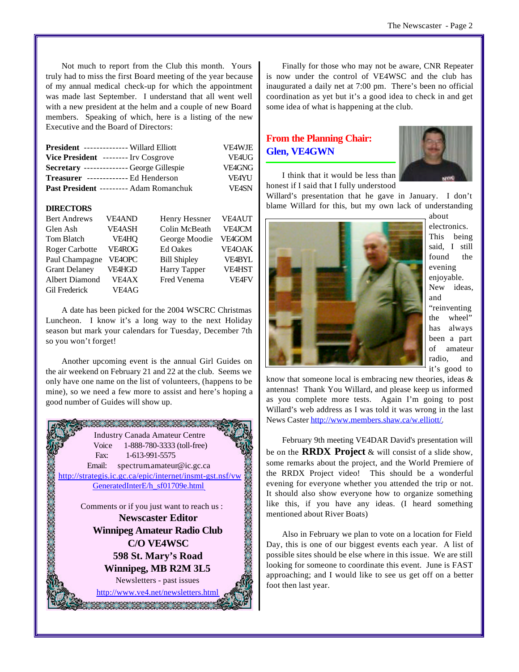Not much to report from the Club this month. Yours truly had to miss the first Board meeting of the year because of my annual medical check-up for which the appointment was made last September. I understand that all went well with a new president at the helm and a couple of new Board members. Speaking of which, here is a listing of the new Executive and the Board of Directors:

| <b>President -------------- Willard Elliott</b>   | <b>VE4WJE</b> |
|---------------------------------------------------|---------------|
| Vice President -------- Inv Cosgrove              | VE4UG         |
| <b>Secretary</b> --------------- George Gillespie | <b>VE4GNG</b> |
| Treasurer -------------- Ed Henderson             | <b>VF4YU</b>  |
| <b>Past President --------- Adam Romanchuk</b>    | <b>VF4SN</b>  |

#### **DIRECTORS**

| <b>Bert Andrews</b>   | <b>VE4AND</b> | Henry Hessner       | <b>VE4AUT</b> |
|-----------------------|---------------|---------------------|---------------|
| Glen Ash              | <b>VE4ASH</b> | Colin McBeath       | <b>VE4JCM</b> |
| Tom Blatch            | <b>VE4HQ</b>  | George Moodie       | VE4GOM        |
| <b>Roger Carbotte</b> | VE4ROG        | <b>Ed Oakes</b>     | <b>VE4OAK</b> |
| Paul Champagne        | VE4OPC        | <b>Bill Shipley</b> | <b>VE4BYL</b> |
| <b>Grant Delaney</b>  | VE4HGD        | Harry Tapper        | <b>VE4HST</b> |
| Albert Diamond        | VE4AX         | Fred Venema         | <b>VF4FV</b>  |
| <b>Gil Frederick</b>  | <b>VE4AG</b>  |                     |               |

A date has been picked for the 2004 WSCRC Christmas Luncheon. I know it's a long way to the next Holiday season but mark your calendars for Tuesday, December 7th so you won't forget!

Another upcoming event is the annual Girl Guides on the air weekend on February 21 and 22 at the club. Seems we only have one name on the list of volunteers, (happens to be mine), so we need a few more to assist and here's hoping a good number of Guides will show up.



Finally for those who may not be aware, CNR Repeater is now under the control of VE4WSC and the club has inaugurated a daily net at 7:00 pm. There's been no official coordination as yet but it's a good idea to check in and get some idea of what is happening at the club.

#### **From the Planning Chair: Glen, VE4GWN**



I think that it would be less than honest if I said that I fully understood

Willard's presentation that he gave in January. I don't blame Willard for this, but my own lack of understanding



about electronics. This being said, I still found the evening enjoyable. New ideas, and "reinventing the wheel" has always been a part of amateur radio, and it's good to

know that someone local is embracing new theories, ideas & antennas! Thank You Willard, and please keep us informed as you complete more tests. Again I'm going to post Willard's web address as I was told it was wrong in the last News Caster http://www.members.shaw.ca/w.elliott/.

February 9th meeting VE4DAR David's presentation will be on the **RRDX Project** & will consist of a slide show, some remarks about the project, and the World Premiere of the RRDX Project video! This should be a wonderful evening for everyone whether you attended the trip or not. It should also show everyone how to organize something like this, if you have any ideas. (I heard something mentioned about River Boats)

Also in February we plan to vote on a location for Field Day, this is one of our biggest events each year. A list of possible sites should be else where in this issue. We are still looking for someone to coordinate this event. June is FAST approaching; and I would like to see us get off on a better foot then last year.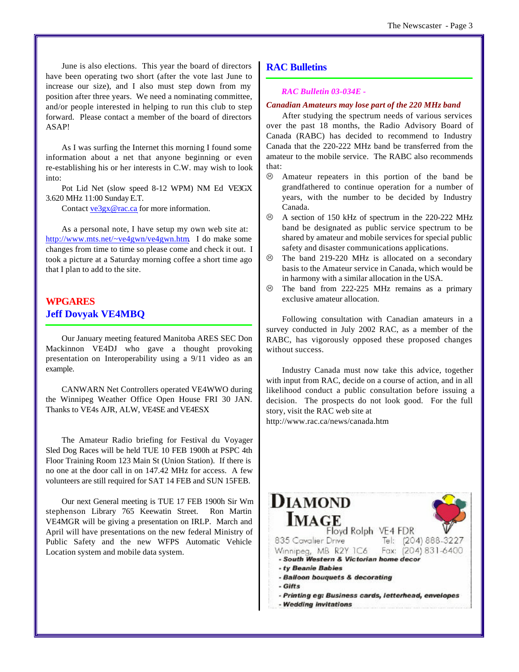June is also elections. This year the board of directors have been operating two short (after the vote last June to increase our size), and I also must step down from my position after three years. We need a nominating committee, and/or people interested in helping to run this club to step forward. Please contact a member of the board of directors ASAP!

As I was surfing the Internet this morning I found some information about a net that anyone beginning or even re-establishing his or her interests in C.W. may wish to look into:

Pot Lid Net (slow speed 8-12 WPM) NM Ed VE3GX 3.620 MHz 11:00 Sunday E.T.

Contact ve3gx@rac.ca for more information.

As a personal note, I have setup my own web site at: http://www.mts.net/~ve4gwn/ve4gwn.htm. I do make some changes from time to time so please come and check it out. I took a picture at a Saturday morning coffee a short time ago that I plan to add to the site.

#### **WPGARES Jeff Dovyak VE4MBQ**

Our January meeting featured Manitoba ARES SEC Don Mackinnon VE4DJ who gave a thought provoking presentation on Interoperability using a 9/11 video as an example.

CANWARN Net Controllers operated VE4WWO during the Winnipeg Weather Office Open House FRI 30 JAN. Thanks to VE4s AJR, ALW, VE4SE and VE4ESX

The Amateur Radio briefing for Festival du Voyager Sled Dog Races will be held TUE 10 FEB 1900h at PSPC 4th Floor Training Room 123 Main St (Union Station). If there is no one at the door call in on 147.42 MHz for access. A few volunteers are still required for SAT 14 FEB and SUN 15FEB.

Our next General meeting is TUE 17 FEB 1900h Sir Wm stephenson Library 765 Keewatin Street. Ron Martin VE4MGR will be giving a presentation on IRLP. March and April will have presentations on the new federal Ministry of Public Safety and the new WFPS Automatic Vehicle Location system and mobile data system.

#### **RAC Bulletins**

#### *RAC Bulletin 03-034E -*

#### *Canadian Amateurs may lose part of the 220 MHz band*

After studying the spectrum needs of various services over the past 18 months, the Radio Advisory Board of Canada (RABC) has decided to recommend to Industry Canada that the 220-222 MHz band be transferred from the amateur to the mobile service. The RABC also recommends that:

- $\odot$  Amateur repeaters in this portion of the band be grandfathered to continue operation for a number of years, with the number to be decided by Industry Canada.
- $\odot$  A section of 150 kHz of spectrum in the 220-222 MHz band be designated as public service spectrum to be shared by amateur and mobile services for special public safety and disaster communications applications.
- $\odot$  The band 219-220 MHz is allocated on a secondary basis to the Amateur service in Canada, which would be in harmony with a similar allocation in the USA.
- $\odot$  The band from 222-225 MHz remains as a primary exclusive amateur allocation.

Following consultation with Canadian amateurs in a survey conducted in July 2002 RAC, as a member of the RABC, has vigorously opposed these proposed changes without success.

Industry Canada must now take this advice, together with input from RAC, decide on a course of action, and in all likelihood conduct a public consultation before issuing a decision. The prospects do not look good. For the full story, visit the RAC web site at

http://www.rac.ca/news/canada.htm

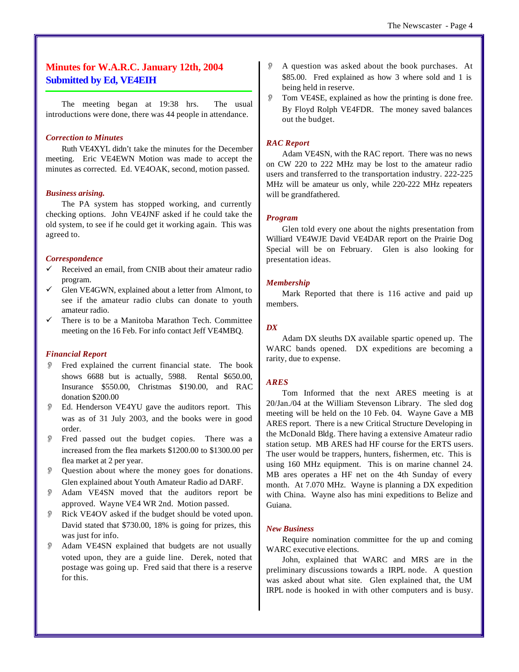#### **Minutes for W.A.R.C. January 12th, 2004 Submitted by Ed, VE4EIH**

The meeting began at 19:38 hrs. The usual introductions were done, there was 44 people in attendance.

#### *Correction to Minutes*

Ruth VE4XYL didn't take the minutes for the December meeting. Eric VE4EWN Motion was made to accept the minutes as corrected. Ed. VE4OAK, second, motion passed.

#### *Business arising.*

The PA system has stopped working, and currently checking options. John VE4JNF asked if he could take the old system, to see if he could get it working again. This was agreed to.

#### *Correspondence*

- Received an email, from CNIB about their amateur radio program.
- Glen VE4GWN, explained about a letter from Almont, to see if the amateur radio clubs can donate to youth amateur radio.
- There is to be a Manitoba Marathon Tech. Committee meeting on the 16 Feb. For info contact Jeff VE4MBQ.

#### *Financial Report*

- Fred explained the current financial state. The book shows 6688 but is actually, 5988. Rental \$650.00, Insurance \$550.00, Christmas \$190.00, and RAC donation \$200.00
- Ed. Henderson VE4YU gave the auditors report. This was as of 31 July 2003, and the books were in good order.
- O Fred passed out the budget copies. There was a increased from the flea markets \$1200.00 to \$1300.00 per flea market at 2 per year.
- Question about where the money goes for donations. Glen explained about Youth Amateur Radio ad DARF.
- Adam VE4SN moved that the auditors report be approved. Wayne VE4 WR 2nd. Motion passed.
- O Rick VE4OV asked if the budget should be voted upon. David stated that \$730.00, 18% is going for prizes, this was just for info.
- O Adam VE4SN explained that budgets are not usually voted upon, they are a guide line. Derek, noted that postage was going up. Fred said that there is a reserve for this.
- A question was asked about the book purchases. At \$85.00. Fred explained as how 3 where sold and 1 is being held in reserve.
- O Tom VE4SE, explained as how the printing is done free. By Floyd Rolph VE4FDR. The money saved balances out the budget.

#### *RAC Report*

Adam VE4SN, with the RAC report. There was no news on CW 220 to 222 MHz may be lost to the amateur radio users and transferred to the transportation industry. 222-225 MHz will be amateur us only, while 220-222 MHz repeaters will be grandfathered.

#### *Program*

Glen told every one about the nights presentation from Williard VE4WJE David VE4DAR report on the Prairie Dog Special will be on February. Glen is also looking for presentation ideas.

#### *Membership*

Mark Reported that there is 116 active and paid up members.

#### *DX*

Adam DX sleuths DX available spartic opened up. The WARC bands opened. DX expeditions are becoming a rarity, due to expense.

#### *ARES*

Tom Informed that the next ARES meeting is at 20/Jan./04 at the William Stevenson Library. The sled dog meeting will be held on the 10 Feb. 04. Wayne Gave a MB ARES report. There is a new Critical Structure Developing in the McDonald Bldg. There having a extensive Amateur radio station setup. MB ARES had HF course for the ERTS users. The user would be trappers, hunters, fishermen, etc. This is using 160 MHz equipment. This is on marine channel 24. MB ares operates a HF net on the 4th Sunday of every month. At 7.070 MHz. Wayne is planning a DX expedition with China. Wayne also has mini expeditions to Belize and Guiana.

#### *New Business*

Require nomination committee for the up and coming WARC executive elections.

John, explained that WARC and MRS are in the preliminary discussions towards a IRPL node. A question was asked about what site. Glen explained that, the UM IRPL node is hooked in with other computers and is busy.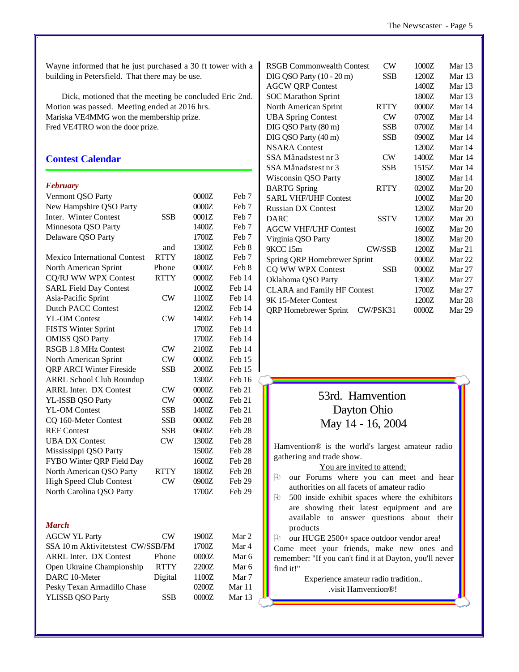Wayne informed that he just purchased a 30 ft tower with a building in Petersfield. That there may be use.

Dick, motioned that the meeting be concluded Eric 2nd. Motion was passed. Meeting ended at 2016 hrs. Mariska VE4MMG won the membership prize. Fred VE4TRO won the door prize.

#### **Contest Calendar**

#### *February*

| Vermont QSO Party                   |             | 0000Z | Feb <sub>7</sub>  |
|-------------------------------------|-------------|-------|-------------------|
| New Hampshire QSO Party             |             | 0000Z | Feb <sub>7</sub>  |
| Inter. Winter Contest               | SSB         | 0001Z | Feb 7             |
| Minnesota QSO Party                 |             | 1400Z | Feb <sub>7</sub>  |
| Delaware QSO Party                  |             | 1700Z | Feb <sub>7</sub>  |
|                                     | and         | 1300Z | Feb 8             |
| <b>Mexico International Contest</b> | <b>RTTY</b> | 1800Z | Feb <sub>7</sub>  |
| North American Sprint               | Phone       | 0000Z | Feb 8             |
| CQ/RJ WW WPX Contest                | <b>RTTY</b> | 0000Z | Feb 14            |
| <b>SARL Field Day Contest</b>       |             | 1000Z | Feb 14            |
| Asia-Pacific Sprint                 | $_{\rm CW}$ | 1100Z | Feb 14            |
| <b>Dutch PACC Contest</b>           |             | 1200Z | Feb 14            |
| <b>YL-OM Contest</b>                | $_{\rm CW}$ | 1400Z | Feb 14            |
| <b>FISTS Winter Sprint</b>          |             | 1700Z | Feb 14            |
| <b>OMISS QSO Party</b>              |             | 1700Z | Feb 14            |
| <b>RSGB 1.8 MHz Contest</b>         | CW          | 2100Z | Feb 14            |
| North American Sprint               | CW          | 0000Z | Feb 15            |
| <b>QRP ARCI Winter Fireside</b>     | <b>SSB</b>  | 2000Z | Feb 15            |
| <b>ARRL School Club Roundup</b>     |             | 1300Z | Feb 16            |
| <b>ARRL Inter. DX Contest</b>       | $_{\rm CW}$ | 0000Z | Feb 21            |
| YL-ISSB QSO Party                   | CW          | 0000Z | Feb 21            |
| <b>YL-OM Contest</b>                | SSB         | 1400Z | Feb 21            |
| CQ 160-Meter Contest                | SSB         | 0000Z | Feb <sub>28</sub> |
| <b>REF Contest</b>                  | <b>SSB</b>  | 0600Z | Feb <sub>28</sub> |
| <b>UBA DX Contest</b>               | CW          | 1300Z | Feb <sub>28</sub> |
| Mississippi QSO Party               |             | 1500Z | Feb <sub>28</sub> |
| FYBO Winter QRP Field Day           |             | 1600Z | Feb 28            |
| North American QSO Party            | <b>RTTY</b> | 1800Z | Feb <sub>28</sub> |
| <b>High Speed Club Contest</b>      | CW          | 0900Z | Feb 29            |
| North Carolina QSO Party            |             | 1700Z | Feb 29            |
|                                     |             |       |                   |
| March                               |             |       |                   |
| <b>AGCW YL Party</b>                | $\text{CW}$ | 1900Z | Mar 2             |
| SSA 10 m Aktivitetstest CW/SSB/FM   |             | 1700Z | Mar 4             |
| <b>ARRL Inter. DX Contest</b>       | Phone       | 0000Z | Mar 6             |
| Open Ukraine Championship           | RTTY        | 2200Z | Mar 6             |
| DARC 10-Meter                       | Digital     | 1100Z | Mar 7             |
| Pesky Texan Armadillo Chase         |             | 0200Z | Mar 11            |
| <b>YLISSB QSO Party</b>             | SSB         | 0000Z | Mar 13            |
|                                     |             |       |                   |

|                                    | <b>RSGB Commonwealth Contest</b> | CW            | 1000Z  | Mar 13   |
|------------------------------------|----------------------------------|---------------|--------|----------|
|                                    |                                  | SSB           | 1200Z  | Mar 13   |
|                                    | DIG QSO Party (10 - 20 m)        |               |        |          |
|                                    | <b>AGCW QRP Contest</b>          |               | 1400Z  | Mar 13   |
|                                    | <b>SOC Marathon Sprint</b>       |               | 1800Z  | Mar $13$ |
|                                    | North American Sprint            | <b>RTTY</b>   | 0000Z  | Mar 14   |
|                                    | <b>UBA Spring Contest</b>        | CW            | 0700Z  | Mar 14   |
|                                    | DIG QSO Party (80 m)             | <b>SSB</b>    | 0700Z  | Mar 14   |
|                                    | DIG QSO Party (40 m)             | <b>SSB</b>    | 0900Z  | Mar 14   |
|                                    | <b>NSARA</b> Contest             |               | 1200Z  | Mar 14   |
|                                    | SSA Månadstest nr 3              | <b>CW</b>     | 1400Z  | Mar 14   |
|                                    | SSA Månadstest nr 3              | SSB           | 1515Z  | Mar 14   |
|                                    | Wisconsin QSO Party              |               | 1800Z  | Mar 14   |
|                                    | <b>BARTG</b> Spring              | <b>RTTY</b>   | 0200Z  | Mar 20   |
|                                    | <b>SARL VHF/UHF Contest</b>      |               | 1000Z  | Mar 20   |
|                                    | <b>Russian DX Contest</b>        |               | 1200Z  | Mar 20   |
|                                    | <b>DARC</b>                      | <b>SSTV</b>   | 1200Z  | Mar $20$ |
|                                    | <b>AGCW VHF/UHF Contest</b>      |               | 1600Z  | Mar 20   |
|                                    | Virginia QSO Party               |               | 1800Z  | Mar 20   |
|                                    | 9KCC 15m                         | <b>CW/SSB</b> | 1200Z  | Mar 21   |
|                                    | Spring QRP Homebrewer Sprint     |               | 0000Z  | Mar 22   |
|                                    | CQ WW WPX Contest                | <b>SSB</b>    | 0000Z  | Mar 27   |
|                                    | Oklahoma QSO Party               |               | 1300Z  | Mar 27   |
| <b>CLARA</b> and Family HF Contest |                                  | 1700Z         | Mar 27 |          |
|                                    | 9K 15-Meter Contest              |               | 1200Z  | Mar 28   |
|                                    | <b>QRP</b> Homebrewer Sprint     | CW/PSK31      | 0000Z  | Mar 29   |
|                                    |                                  |               |        |          |

## 53rd. Hamvention Dayton Ohio May 14 - 16, 2004

Hamvention® is the world's largest amateur radio gathering and trade show.

#### You are invited to attend:

- $\upbeta$  our Forums where you can meet and hear authorities on all facets of amateur radio
- $\upbeta$  500 inside exhibit spaces where the exhibitors are showing their latest equipment and are available to answer questions about their products
- O our HUGE 2500+ space outdoor vendor area!

Come meet your friends, make new ones and remember: "If you can't find it at Dayton, you'll never find it!"

> Experience amateur radio tradition.. .visit Hamvention®!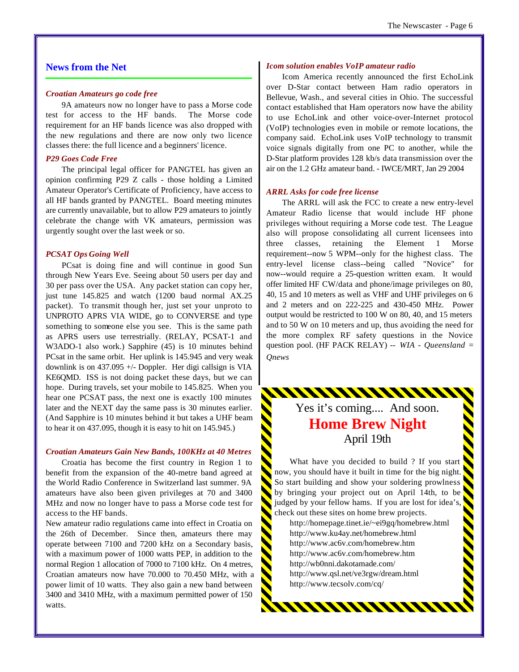#### **News from the Net**

#### *Croatian Amateurs go code free*

9A amateurs now no longer have to pass a Morse code test for access to the HF bands. The Morse code requirement for an HF bands licence was also dropped with the new regulations and there are now only two licence classes there: the full licence and a beginners' licence.

#### *P29 Goes Code Free*

The principal legal officer for PANGTEL has given an opinion confirming P29 Z calls - those holding a Limited Amateur Operator's Certificate of Proficiency, have access to all HF bands granted by PANGTEL. Board meeting minutes are currently unavailable, but to allow P29 amateurs to jointly celebrate the change with VK amateurs, permission was urgently sought over the last week or so.

#### *PCSAT Ops Going Well*

PCsat is doing fine and will continue in good Sun through New Years Eve. Seeing about 50 users per day and 30 per pass over the USA. Any packet station can copy her, just tune 145.825 and watch (1200 baud normal AX.25 packet). To transmit though her, just set your unproto to UNPROTO APRS VIA WIDE, go to CONVERSE and type something to someone else you see. This is the same path as APRS users use terrestrially. (RELAY, PCSAT-1 and W3ADO-1 also work.) Sapphire (45) is 10 minutes behind PCsat in the same orbit. Her uplink is 145.945 and very weak downlink is on 437.095 +/- Doppler. Her digi callsign is VIA KE6QMD. ISS is not doing packet these days, but we can hope. During travels, set your mobile to 145.825. When you hear one PCSAT pass, the next one is exactly 100 minutes later and the NEXT day the same pass is 30 minutes earlier. (And Sapphire is 10 minutes behind it but takes a UHF beam to hear it on 437.095, though it is easy to hit on 145.945.)

#### *Croatian Amateurs Gain New Bands, 100KHz at 40 Metres*

Croatia has become the first country in Region 1 to benefit from the expansion of the 40-metre band agreed at the World Radio Conference in Switzerland last summer. 9A amateurs have also been given privileges at 70 and 3400 MHz and now no longer have to pass a Morse code test for access to the HF bands.

New amateur radio regulations came into effect in Croatia on the 26th of December. Since then, amateurs there may operate between 7100 and 7200 kHz on a Secondary basis, with a maximum power of 1000 watts PEP, in addition to the normal Region 1 allocation of 7000 to 7100 kHz. On 4 metres, Croatian amateurs now have 70.000 to 70.450 MHz, with a power limit of 10 watts. They also gain a new band between 3400 and 3410 MHz, with a maximum permitted power of 150 watts.

#### *Icom solution enables VoIP amateur radio*

Icom America recently announced the first EchoLink over D-Star contact between Ham radio operators in Bellevue, Wash., and several cities in Ohio. The successful contact established that Ham operators now have the ability to use EchoLink and other voice-over-Internet protocol (VoIP) technologies even in mobile or remote locations, the company said. EchoLink uses VoIP technology to transmit voice signals digitally from one PC to another, while the D-Star platform provides 128 kb/s data transmission over the air on the 1.2 GHz amateur band. - IWCE/MRT, Jan 29 2004

#### *ARRL Asks for code free license*

The ARRL will ask the FCC to create a new entry-level Amateur Radio license that would include HF phone privileges without requiring a Morse code test. The League also will propose consolidating all current licensees into three classes, retaining the Element 1 Morse requirement--now 5 WPM--only for the highest class. The entry-level license class--being called "Novice" for now--would require a 25-question written exam. It would offer limited HF CW/data and phone/image privileges on 80, 40, 15 and 10 meters as well as VHF and UHF privileges on 6 and 2 meters and on 222-225 and 430-450 MHz. Power output would be restricted to 100 W on 80, 40, and 15 meters and to 50 W on 10 meters and up, thus avoiding the need for the more complex RF safety questions in the Novice question pool. (HF PACK RELAY) -- *WIA - Queensland = Qnews*

> Yes it's coming.... And soon. **Home Brew Night** April 19th

<u>MUUNINININ</u>

What have you decided to build ? If you start now, you should have it built in time for the big night. So start building and show your soldering prowlness by bringing your project out on April 14th, to be judged by your fellow hams. If you are lost for idea's, check out these sites on home brew projects.

http://homepage.tinet.ie/~ei9gq/homebrew.html http://www.ku4ay.net/homebrew.html http://www.ac6v.com/homebrew.htm http://www.ac6v.com/homebrew.htm http://wb0nni.dakotamade.com/ http://www.qsl.net/ve3rgw/dream.html http://www.tecsolv.com/cq/

**WWWWWWW**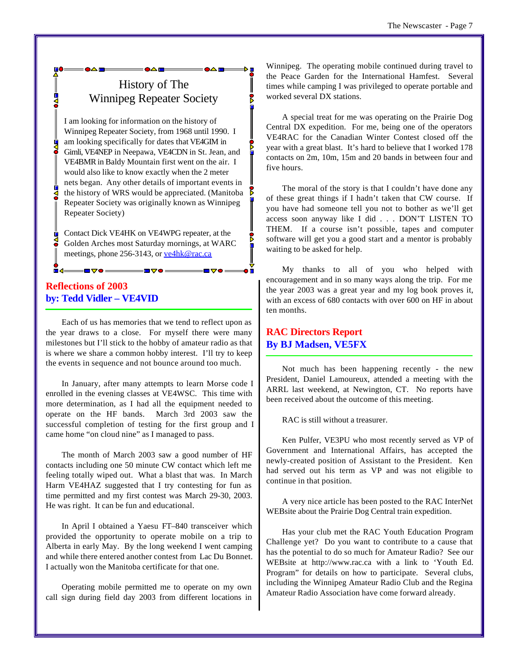## History of The Winnipeg Repeater Society

I am looking for information on the history of Winnipeg Repeater Society, from 1968 until 1990. I am looking specifically for dates that VE4GIM in Gimli, VE4NEP in Neepawa, VE4CDN in St. Jean, and VE4BMR in Baldy Mountain first went on the air. I would also like to know exactly when the 2 meter nets began. Any other details of important events in the history of WRS would be appreciated. (Manitoba Repeater Society was originally known as Winnipeg Repeater Society)

Contact Dick VE4HK on VE4WPG repeater, at the Golden Arches most Saturday mornings, at WARC meetings, phone 256-3143, or ve4hk@rac.ca

#### **Reflections of 2003 by: Tedd Vidler – VE4VID**

Each of us has memories that we tend to reflect upon as the year draws to a close. For myself there were many milestones but I'll stick to the hobby of amateur radio as that is where we share a common hobby interest. I'll try to keep the events in sequence and not bounce around too much.

In January, after many attempts to learn Morse code I enrolled in the evening classes at VE4WSC. This time with more determination, as I had all the equipment needed to operate on the HF bands. March 3rd 2003 saw the successful completion of testing for the first group and I came home "on cloud nine" as I managed to pass.

The month of March 2003 saw a good number of HF contacts including one 50 minute CW contact which left me feeling totally wiped out. What a blast that was. In March Harm VE4HAZ suggested that I try contesting for fun as time permitted and my first contest was March 29-30, 2003. He was right. It can be fun and educational.

In April I obtained a Yaesu FT–840 transceiver which provided the opportunity to operate mobile on a trip to Alberta in early May. By the long weekend I went camping and while there entered another contest from Lac Du Bonnet. I actually won the Manitoba certificate for that one.

Operating mobile permitted me to operate on my own call sign during field day 2003 from different locations in Winnipeg. The operating mobile continued during travel to the Peace Garden for the International Hamfest. Several times while camping I was privileged to operate portable and worked several DX stations.

A special treat for me was operating on the Prairie Dog Central DX expedition. For me, being one of the operators VE4RAC for the Canadian Winter Contest closed off the year with a great blast. It's hard to believe that I worked 178 contacts on 2m, 10m, 15m and 20 bands in between four and five hours.

The moral of the story is that I couldn't have done any of these great things if I hadn't taken that CW course. If you have had someone tell you not to bother as we'll get access soon anyway like I did . . . DON'T LISTEN TO THEM. If a course isn't possible, tapes and computer software will get you a good start and a mentor is probably waiting to be asked for help.

My thanks to all of you who helped with encouragement and in so many ways along the trip. For me the year 2003 was a great year and my log book proves it, with an excess of 680 contacts with over 600 on HF in about ten months.

#### **RAC Directors Report By BJ Madsen, VE5FX**

Not much has been happening recently - the new President, Daniel Lamoureux, attended a meeting with the ARRL last weekend, at Newington, CT. No reports have been received about the outcome of this meeting.

RAC is still without a treasurer.

Ken Pulfer, VE3PU who most recently served as VP of Government and International Affairs, has accepted the newly-created position of Assistant to the President. Ken had served out his term as VP and was not eligible to continue in that position.

A very nice article has been posted to the RAC InterNet WEBsite about the Prairie Dog Central train expedition.

Has your club met the RAC Youth Education Program Challenge yet? Do you want to contribute to a cause that has the potential to do so much for Amateur Radio? See our WEBsite at http://www.rac.ca with a link to 'Youth Ed. Program" for details on how to participate. Several clubs, including the Winnipeg Amateur Radio Club and the Regina Amateur Radio Association have come forward already.